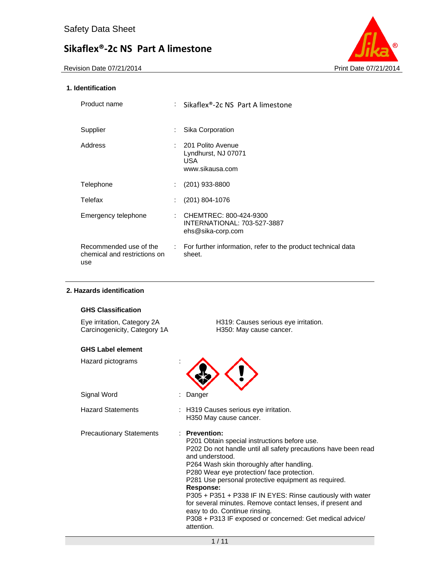

## **1. Identification**

| Product name                                                  |    | : Sikaflex®-2c NS Part A limestone                                          |
|---------------------------------------------------------------|----|-----------------------------------------------------------------------------|
| Supplier                                                      | t. | Sika Corporation                                                            |
| Address                                                       |    | : 201 Polito Avenue<br>Lyndhurst, NJ 07071<br><b>USA</b><br>www.sikausa.com |
| <b>Telephone</b>                                              | t. | $(201)$ 933-8800                                                            |
| Telefax                                                       |    | $(201)$ 804-1076                                                            |
| Emergency telephone                                           | ÷. | CHEMTREC: 800-424-9300<br>INTERNATIONAL: 703-527-3887<br>ehs@sika-corp.com  |
| Recommended use of the<br>chemical and restrictions on<br>use |    | : For further information, refer to the product technical data<br>sheet.    |

### **2. Hazards identification**

## **GHS Classification**

| Eye irritation, Category 2A  | H319: Causes serious eye |
|------------------------------|--------------------------|
| Carcinogenicity, Category 1A | H350: May cause cancer.  |

Eye irritation, Category 2A H319: Causes serious eye irritation.

## **GHS Label element**

| Hazard pictograms               |                                                                                                                                                                                                                                                                                                                                                                                                                                                                                                                                                                |
|---------------------------------|----------------------------------------------------------------------------------------------------------------------------------------------------------------------------------------------------------------------------------------------------------------------------------------------------------------------------------------------------------------------------------------------------------------------------------------------------------------------------------------------------------------------------------------------------------------|
| Signal Word                     | Danger                                                                                                                                                                                                                                                                                                                                                                                                                                                                                                                                                         |
| <b>Hazard Statements</b>        | : H319 Causes serious eye irritation.<br>H350 May cause cancer.                                                                                                                                                                                                                                                                                                                                                                                                                                                                                                |
| <b>Precautionary Statements</b> | : Prevention:<br>P201 Obtain special instructions before use.<br>P202 Do not handle until all safety precautions have been read<br>and understood.<br>P264 Wash skin thoroughly after handling.<br>P280 Wear eye protection/face protection.<br>P281 Use personal protective equipment as required.<br><b>Response:</b><br>P305 + P351 + P338 IF IN EYES: Rinse cautiously with water<br>for several minutes. Remove contact lenses, if present and<br>easy to do. Continue rinsing.<br>P308 + P313 IF exposed or concerned: Get medical advice/<br>attention. |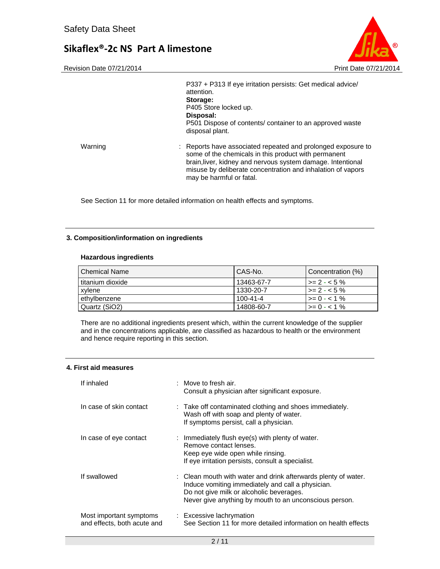

|         | P337 + P313 If eye irritation persists: Get medical advice/<br>attention.<br>Storage:<br>P405 Store locked up.<br>Disposal:<br>P501 Dispose of contents/ container to an approved waste<br>disposal plant.                                                                     |
|---------|--------------------------------------------------------------------------------------------------------------------------------------------------------------------------------------------------------------------------------------------------------------------------------|
| Warning | : Reports have associated repeated and prolonged exposure to<br>some of the chemicals in this product with permanent<br>brain, liver, kidney and nervous system damage. Intentional<br>misuse by deliberate concentration and inhalation of vapors<br>may be harmful or fatal. |

See Section 11 for more detailed information on health effects and symptoms.

#### **3. Composition/information on ingredients**

#### **Hazardous ingredients**

| l Chemical Name    | CAS-No.        | Concentration (%)        |
|--------------------|----------------|--------------------------|
| l titanium dioxide | 13463-67-7     | $\ge$ = 2 - < 5 %        |
| xylene             | 1330-20-7      | $\vert$ >= 2 - < 5 %     |
| ethylbenzene       | $100 - 41 - 4$ | $\rightarrow = 0 - 1 \%$ |
| Quartz (SiO2)      | 14808-60-7     | $\ge$ = 0 - < 1 %        |

There are no additional ingredients present which, within the current knowledge of the supplier and in the concentrations applicable, are classified as hazardous to health or the environment and hence require reporting in this section.

### **4. First aid measures**

| If inhaled                                             | $\therefore$ Move to fresh air.<br>Consult a physician after significant exposure.                                                                                                                                        |
|--------------------------------------------------------|---------------------------------------------------------------------------------------------------------------------------------------------------------------------------------------------------------------------------|
| In case of skin contact                                | : Take off contaminated clothing and shoes immediately.<br>Wash off with soap and plenty of water.<br>If symptoms persist, call a physician.                                                                              |
| In case of eye contact                                 | : Immediately flush eye(s) with plenty of water.<br>Remove contact lenses.<br>Keep eye wide open while rinsing.<br>If eye irritation persists, consult a specialist.                                                      |
| If swallowed                                           | : Clean mouth with water and drink afterwards plenty of water.<br>Induce vomiting immediately and call a physician.<br>Do not give milk or alcoholic beverages.<br>Never give anything by mouth to an unconscious person. |
| Most important symptoms<br>and effects, both acute and | : Excessive lachrymation<br>See Section 11 for more detailed information on health effects                                                                                                                                |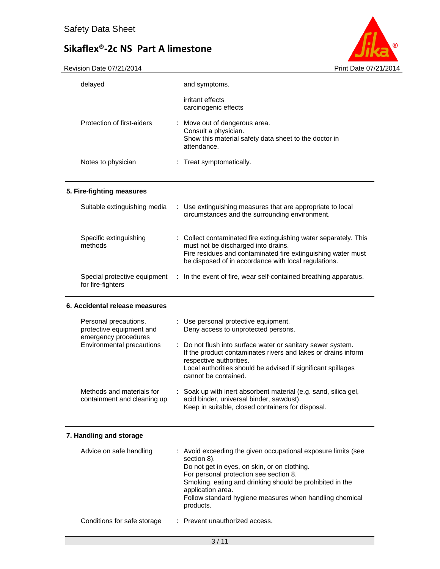

| delayed                                                                   | and symptoms.                                                                                                                                                                                                                                                                                                                   |
|---------------------------------------------------------------------------|---------------------------------------------------------------------------------------------------------------------------------------------------------------------------------------------------------------------------------------------------------------------------------------------------------------------------------|
|                                                                           | irritant effects<br>carcinogenic effects                                                                                                                                                                                                                                                                                        |
| Protection of first-aiders                                                | : Move out of dangerous area.<br>Consult a physician.<br>Show this material safety data sheet to the doctor in<br>attendance.                                                                                                                                                                                                   |
| Notes to physician                                                        | : Treat symptomatically.                                                                                                                                                                                                                                                                                                        |
| 5. Fire-fighting measures                                                 |                                                                                                                                                                                                                                                                                                                                 |
| Suitable extinguishing media                                              | : Use extinguishing measures that are appropriate to local<br>circumstances and the surrounding environment.                                                                                                                                                                                                                    |
| Specific extinguishing<br>methods                                         | : Collect contaminated fire extinguishing water separately. This<br>must not be discharged into drains.<br>Fire residues and contaminated fire extinguishing water must<br>be disposed of in accordance with local regulations.                                                                                                 |
| Special protective equipment<br>for fire-fighters                         | In the event of fire, wear self-contained breathing apparatus.<br>$\sim$ 100                                                                                                                                                                                                                                                    |
| 6. Accidental release measures                                            |                                                                                                                                                                                                                                                                                                                                 |
| Personal precautions,<br>protective equipment and<br>emergency procedures | : Use personal protective equipment.<br>Deny access to unprotected persons.                                                                                                                                                                                                                                                     |
| Environmental precautions                                                 | : Do not flush into surface water or sanitary sewer system.<br>If the product contaminates rivers and lakes or drains inform<br>respective authorities.<br>Local authorities should be advised if significant spillages<br>cannot be contained.                                                                                 |
|                                                                           |                                                                                                                                                                                                                                                                                                                                 |
| Methods and materials for<br>containment and cleaning up                  | Soak up with inert absorbent material (e.g. sand, silica gel,<br>acid binder, universal binder, sawdust).<br>Keep in suitable, closed containers for disposal.                                                                                                                                                                  |
| 7. Handling and storage                                                   |                                                                                                                                                                                                                                                                                                                                 |
| Advice on safe handling                                                   | : Avoid exceeding the given occupational exposure limits (see<br>section 8).<br>Do not get in eyes, on skin, or on clothing.<br>For personal protection see section 8.<br>Smoking, eating and drinking should be prohibited in the<br>application area.<br>Follow standard hygiene measures when handling chemical<br>products. |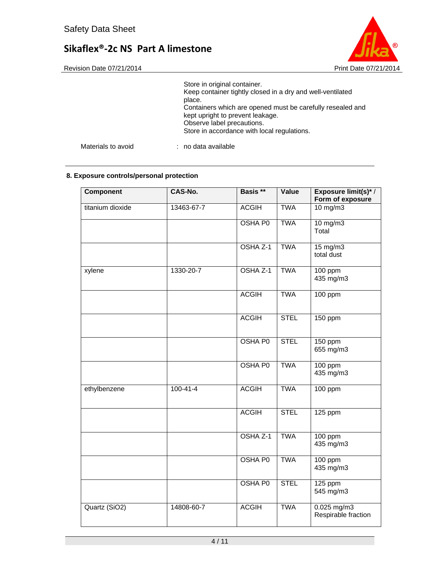

|                    | Store in original container.<br>Keep container tightly closed in a dry and well-ventilated<br>place.<br>Containers which are opened must be carefully resealed and<br>kept upright to prevent leakage.<br>Observe label precautions.<br>Store in accordance with local regulations. |
|--------------------|-------------------------------------------------------------------------------------------------------------------------------------------------------------------------------------------------------------------------------------------------------------------------------------|
| Materials to avoid | : no data available                                                                                                                                                                                                                                                                 |

## **8. Exposure controls/personal protection**

| Component        | CAS-No.        | Basis **       | Value       | Exposure limit(s)*/<br>Form of exposure |
|------------------|----------------|----------------|-------------|-----------------------------------------|
| titanium dioxide | 13463-67-7     | <b>ACGIH</b>   | <b>TWA</b>  | $10$ mg/m $3$                           |
|                  |                | OSHA P0        | <b>TWA</b>  | 10 mg/m3<br>Total                       |
|                  |                | OSHA Z-1       | <b>TWA</b>  | $15 \text{ mg/m}$<br>total dust         |
| xylene           | 1330-20-7      | OSHA Z-1       | <b>TWA</b>  | 100 ppm<br>435 mg/m3                    |
|                  |                | <b>ACGIH</b>   | <b>TWA</b>  | 100 ppm                                 |
|                  |                | <b>ACGIH</b>   | <b>STEL</b> | 150 ppm                                 |
|                  |                | <b>OSHA P0</b> | <b>STEL</b> | 150 ppm<br>655 mg/m3                    |
|                  |                | <b>OSHA P0</b> | <b>TWA</b>  | 100 ppm<br>435 mg/m3                    |
| ethylbenzene     | $100 - 41 - 4$ | <b>ACGIH</b>   | <b>TWA</b>  | $100$ ppm                               |
|                  |                | <b>ACGIH</b>   | <b>STEL</b> | 125 ppm                                 |
|                  |                | OSHA Z-1       | <b>TWA</b>  | $100$ ppm<br>435 mg/m3                  |
|                  |                | <b>OSHA P0</b> | <b>TWA</b>  | 100 ppm<br>435 mg/m3                    |
|                  |                | <b>OSHA P0</b> | <b>STEL</b> | 125 ppm<br>545 mg/m3                    |
| Quartz (SiO2)    | 14808-60-7     | <b>ACGIH</b>   | <b>TWA</b>  | $0.025$ mg/m3<br>Respirable fraction    |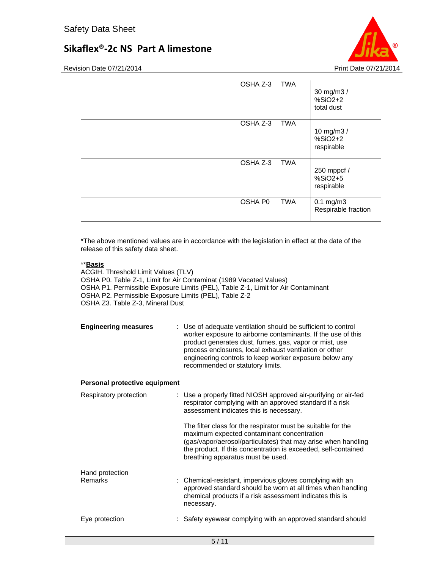Revision Date 07/21/2014 **Print Date 07/21/2014** Print Date 07/21/2014

| OSHA Z-3 | <b>TWA</b> | 30 mg/m3 /<br>$%SiO2+2$<br>total dust  |
|----------|------------|----------------------------------------|
| OSHA Z-3 | <b>TWA</b> | 10 mg/m3 /<br>$%SiO2+2$<br>respirable  |
| OSHA Z-3 | <b>TWA</b> | 250 mppcf /<br>$%SiO2+5$<br>respirable |
| OSHA P0  | <b>TWA</b> | $0.1$ mg/m $3$<br>Respirable fraction  |

\*The above mentioned values are in accordance with the legislation in effect at the date of the release of this safety data sheet.

## \*\***Basis**

ACGIH. Threshold Limit Values (TLV) OSHA P0. Table Z-1, Limit for Air Contaminat (1989 Vacated Values) OSHA P1. Permissible Exposure Limits (PEL), Table Z-1, Limit for Air Contaminant OSHA P2. Permissible Exposure Limits (PEL), Table Z-2 OSHA Z3. Table Z-3, Mineral Dust

**Engineering measures** : Use of adequate ventilation should be sufficient to control worker exposure to airborne contaminants. If the use of this product generates dust, fumes, gas, vapor or mist, use process enclosures, local exhaust ventilation or other engineering controls to keep worker exposure below any recommended or statutory limits.

### **Personal protective equipment**

| Respiratory protection            | : Use a properly fitted NIOSH approved air-purifying or air-fed<br>respirator complying with an approved standard if a risk<br>assessment indicates this is necessary.                                                                                                             |
|-----------------------------------|------------------------------------------------------------------------------------------------------------------------------------------------------------------------------------------------------------------------------------------------------------------------------------|
|                                   | The filter class for the respirator must be suitable for the<br>maximum expected contaminant concentration<br>(gas/vapor/aerosol/particulates) that may arise when handling<br>the product. If this concentration is exceeded, self-contained<br>breathing apparatus must be used. |
| Hand protection<br><b>Remarks</b> | : Chemical-resistant, impervious gloves complying with an<br>approved standard should be worn at all times when handling<br>chemical products if a risk assessment indicates this is<br>necessary.                                                                                 |
| Eye protection                    | : Safety eyewear complying with an approved standard should                                                                                                                                                                                                                        |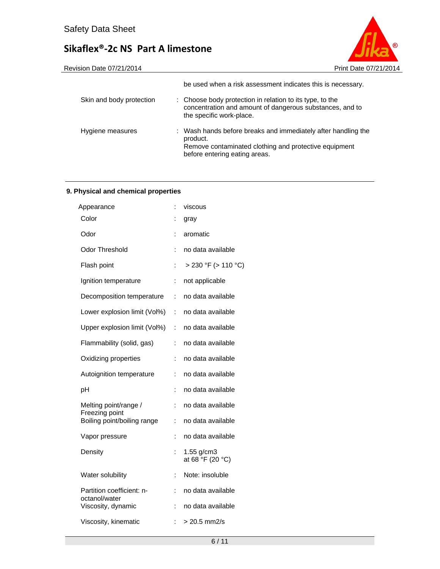



|                          | be used when a risk assessment indicates this is necessary.                                                                                                         |
|--------------------------|---------------------------------------------------------------------------------------------------------------------------------------------------------------------|
| Skin and body protection | : Choose body protection in relation to its type, to the<br>concentration and amount of dangerous substances, and to<br>the specific work-place.                    |
| Hygiene measures         | : Wash hands before breaks and immediately after handling the<br>product.<br>Remove contaminated clothing and protective equipment<br>before entering eating areas. |

## **9. Physical and chemical properties**

| ÷  | viscous                          |
|----|----------------------------------|
| :  | gray                             |
| ÷  | aromatic                         |
| ÷  | no data available                |
| İ. | > 230 °F (> 110 °C)              |
| ÷  | not applicable                   |
| ÷  | no data available                |
| ÷  | no data available                |
| ÷  | no data available                |
| ÷  | no data available                |
| t  | no data available                |
| t. | no data available                |
| ÷  | no data available                |
| ÷  | no data available                |
| ÷  | no data available                |
| ÷  | no data available                |
|    | $1.55$ g/cm3<br>at 68 °F (20 °C) |
| İ. | Note: insoluble                  |
| ÷  | no data available                |
| ÷  | no data available                |
| t  | $> 20.5$ mm2/s                   |
|    |                                  |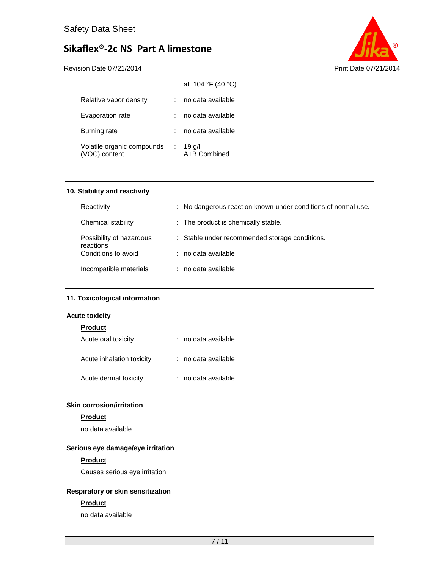



|                                             |           | at $104 \text{ }^{\circ}F(40 \text{ }^{\circ}C)$ |
|---------------------------------------------|-----------|--------------------------------------------------|
| Relative vapor density                      |           | no data available                                |
| Evaporation rate                            |           | no data available                                |
| Burning rate                                |           | no data available                                |
| Volatile organic compounds<br>(VOC) content | $\sim 10$ | 19 g/l<br>A+B Combined                           |

## **10. Stability and reactivity**

| Reactivity                            | : No dangerous reaction known under conditions of normal use. |
|---------------------------------------|---------------------------------------------------------------|
| Chemical stability                    | : The product is chemically stable.                           |
| Possibility of hazardous<br>reactions | : Stable under recommended storage conditions.                |
| Conditions to avoid                   | : no data available                                           |
| Incompatible materials                | : no data available                                           |

## **11. Toxicological information**

### **Acute toxicity**

| <b>Product</b>            |                     |
|---------------------------|---------------------|
| Acute oral toxicity       | : no data available |
| Acute inhalation toxicity | : no data available |
| Acute dermal toxicity     | : no data available |

## **Skin corrosion/irritation**

## **Product**

no data available

## **Serious eye damage/eye irritation**

#### **Product**

Causes serious eye irritation.

## **Respiratory or skin sensitization**

### **Product**

no data available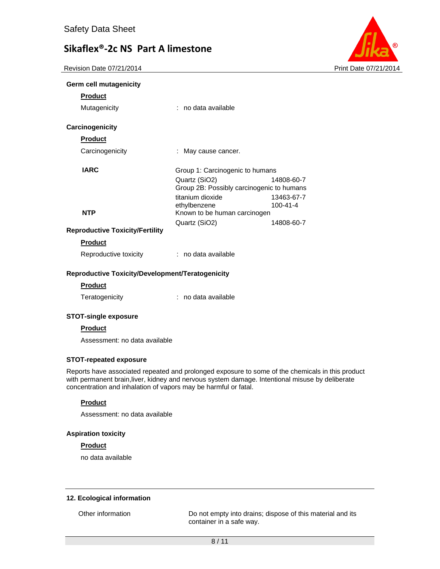Revision Date 07/21/2014 **Print Date 07/21/2014** Print Date 07/21/2014



|  | Germ cell mutagenicity |
|--|------------------------|
|  |                        |

| <b>Product</b>                         |                                                            |                              |
|----------------------------------------|------------------------------------------------------------|------------------------------|
| Mutagenicity                           | : no data available                                        |                              |
| <b>Carcinogenicity</b>                 |                                                            |                              |
| <b>Product</b>                         |                                                            |                              |
| Carcinogenicity                        | May cause cancer.                                          |                              |
| <b>IARC</b>                            | Group 1: Carcinogenic to humans                            |                              |
|                                        | Quartz (SiO2)<br>Group 2B: Possibly carcinogenic to humans | 14808-60-7                   |
|                                        | titanium dioxide<br>ethylbenzene                           | 13463-67-7<br>$100 - 41 - 4$ |
| <b>NTP</b>                             | Known to be human carcinogen                               |                              |
| <b>Reproductive Toxicity/Fertility</b> | Quartz (SiO2)                                              | 14808-60-7                   |
| <b>Product</b>                         |                                                            |                              |
| Reproductive toxicity                  | $:$ no data available                                      |                              |
|                                        |                                                            |                              |

### **Reproductive Toxicity/Development/Teratogenicity**

| Product |  |  |
|---------|--|--|
|         |  |  |

| Teratogenicity | no data available |
|----------------|-------------------|
|----------------|-------------------|

### **STOT-single exposure**

### **Product**

Assessment: no data available

### **STOT-repeated exposure**

Reports have associated repeated and prolonged exposure to some of the chemicals in this product with permanent brain,liver, kidney and nervous system damage. Intentional misuse by deliberate concentration and inhalation of vapors may be harmful or fatal.

## **Product**

Assessment: no data available

#### **Aspiration toxicity**

#### **Product**

no data available

#### **12. Ecological information**

Other information Do not empty into drains; dispose of this material and its container in a safe way.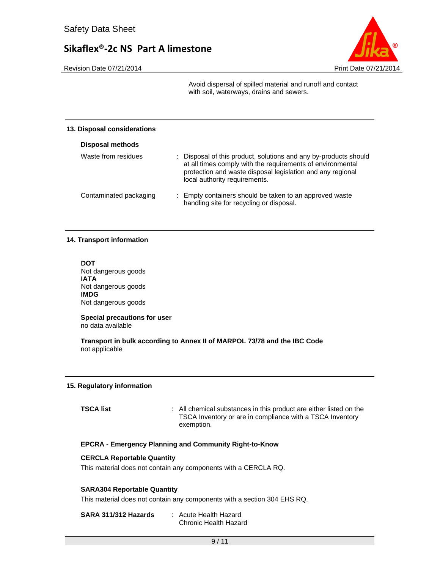

Revision Date 07/21/2014 **Print Date 07/21/2014** Print Date 07/21/2014

Avoid dispersal of spilled material and runoff and contact with soil, waterways, drains and sewers.

#### **13. Disposal considerations**

| <b>Disposal methods</b> |                                                                                                                                                                                                                               |
|-------------------------|-------------------------------------------------------------------------------------------------------------------------------------------------------------------------------------------------------------------------------|
| Waste from residues     | : Disposal of this product, solutions and any by-products should<br>at all times comply with the requirements of environmental<br>protection and waste disposal legislation and any regional<br>local authority requirements. |
| Contaminated packaging  | : Empty containers should be taken to an approved waste<br>handling site for recycling or disposal.                                                                                                                           |

#### **14. Transport information**

**DOT**  Not dangerous goods **IATA**  Not dangerous goods **IMDG**  Not dangerous goods

**Special precautions for user** no data available

**Transport in bulk according to Annex II of MARPOL 73/78 and the IBC Code**  not applicable

#### **15. Regulatory information**

**TSCA list** : All chemical substances in this product are either listed on the TSCA Inventory or are in compliance with a TSCA Inventory exemption.

#### **EPCRA - Emergency Planning and Community Right-to-Know**

### **CERCLA Reportable Quantity**

This material does not contain any components with a CERCLA RQ.

## **SARA304 Reportable Quantity**

This material does not contain any components with a section 304 EHS RQ.

| SARA 311/312 Hazards | : Acute Health Hazard |
|----------------------|-----------------------|
|                      | Chronic Health Hazard |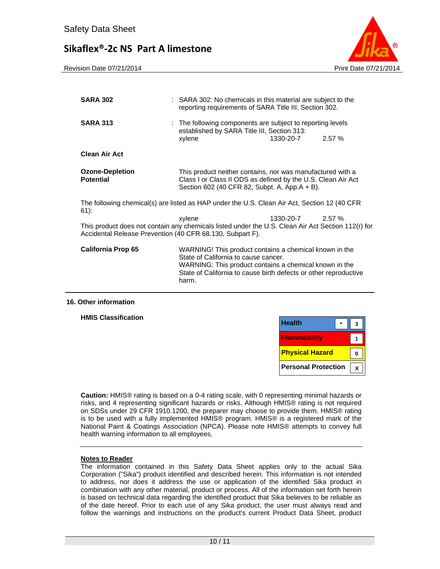



| <b>SARA 302</b>                                                                                                                                                 | : SARA 302: No chemicals in this material are subject to the<br>reporting requirements of SARA Title III, Section 302.                                                                                                                |           |       |
|-----------------------------------------------------------------------------------------------------------------------------------------------------------------|---------------------------------------------------------------------------------------------------------------------------------------------------------------------------------------------------------------------------------------|-----------|-------|
| <b>SARA 313</b>                                                                                                                                                 | : The following components are subject to reporting levels<br>established by SARA Title III, Section 313:<br>xylene                                                                                                                   | 1330-20-7 | 2.57% |
| <b>Clean Air Act</b>                                                                                                                                            |                                                                                                                                                                                                                                       |           |       |
| <b>Ozone-Depletion</b><br><b>Potential</b>                                                                                                                      | This product neither contains, nor was manufactured with a<br>Class I or Class II ODS as defined by the U.S. Clean Air Act<br>Section 602 (40 CFR 82, Subpt. A, App.A + B).                                                           |           |       |
| The following chemical(s) are listed as HAP under the U.S. Clean Air Act, Section 12 (40 CFR<br>$61$ :                                                          |                                                                                                                                                                                                                                       |           |       |
| This product does not contain any chemicals listed under the U.S. Clean Air Act Section 112(r) for<br>Accidental Release Prevention (40 CFR 68.130, Subpart F). | xylene                                                                                                                                                                                                                                | 1330-20-7 | 2.57% |
| <b>California Prop 65</b>                                                                                                                                       | WARNING! This product contains a chemical known in the<br>State of California to cause cancer.<br>WARNING: This product contains a chemical known in the<br>State of California to cause birth defects or other reproductive<br>harm. |           |       |

### **16. Other information**

**HMIS Classification** 

| <b>Health</b>              |  |
|----------------------------|--|
| <b>Flammability</b>        |  |
| <b>Physical Hazard</b>     |  |
| <b>Personal Protection</b> |  |

**Caution:** HMIS® rating is based on a 0-4 rating scale, with 0 representing minimal hazards or risks, and 4 representing significant hazards or risks. Although HMIS® rating is not required on SDSs under 29 CFR 1910.1200, the preparer may choose to provide them. HMIS® rating is to be used with a fully implemented HMIS® program. HMIS® is a registered mark of the National Paint & Coatings Association (NPCA). Please note HMIS® attempts to convey full health warning information to all employees.

#### **Notes to Reader**

The information contained in this Safety Data Sheet applies only to the actual Sika Corporation ("Sika") product identified and described herein. This information is not intended to address, nor does it address the use or application of the identified Sika product in combination with any other material, product or process. All of the information set forth herein is based on technical data regarding the identified product that Sika believes to be reliable as of the date hereof. Prior to each use of any Sika product, the user must always read and follow the warnings and instructions on the product's current Product Data Sheet, product